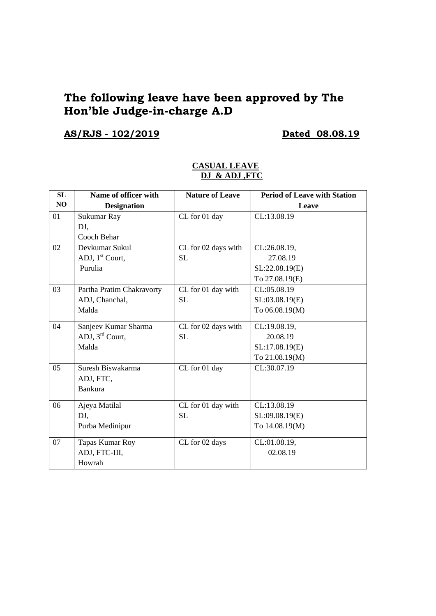## **The following leave have been approved by The Hon'ble Judge-in-charge A.D**

# **AS/RJS - 102/2019 Dated 08.08.19**

| SL             | Name of officer with        | <b>Nature of Leave</b> | <b>Period of Leave with Station</b> |
|----------------|-----------------------------|------------------------|-------------------------------------|
| N <sub>O</sub> | <b>Designation</b>          |                        | Leave                               |
| 01             | Sukumar Ray                 | CL for 01 day          | CL:13.08.19                         |
|                | DJ,                         |                        |                                     |
|                | Cooch Behar                 |                        |                                     |
| 02             | Devkumar Sukul              | CL for 02 days with    | CL:26.08.19,                        |
|                | ADJ, 1 <sup>st</sup> Court, | <b>SL</b>              | 27.08.19                            |
|                | Purulia                     |                        | SL:22.08.19(E)                      |
|                |                             |                        | To 27.08.19(E)                      |
| 03             | Partha Pratim Chakravorty   | CL for 01 day with     | CL:05.08.19                         |
|                | ADJ, Chanchal,              | <b>SL</b>              | SL:03.08.19(E)                      |
|                | Malda                       |                        | To 06.08.19(M)                      |
| 04             | Sanjeev Kumar Sharma        | CL for 02 days with    | CL:19.08.19,                        |
|                | ADJ, $3^{\text{rd}}$ Court, | <b>SL</b>              | 20.08.19                            |
|                | Malda                       |                        | SL:17.08.19(E)                      |
|                |                             |                        | To 21.08.19(M)                      |
| 05             | Suresh Biswakarma           | CL for 01 day          | CL:30.07.19                         |
|                | ADJ, FTC,                   |                        |                                     |
|                | <b>Bankura</b>              |                        |                                     |
| 06             | Ajeya Matilal               | CL for 01 day with     | CL:13.08.19                         |
|                | DJ,                         | <b>SL</b>              | SL:09.08.19(E)                      |
|                | Purba Medinipur             |                        | To 14.08.19(M)                      |
| 07             | Tapas Kumar Roy             | CL for 02 days         | CL:01.08.19,                        |
|                | ADJ, FTC-III,               |                        | 02.08.19                            |
|                | Howrah                      |                        |                                     |

### **CASUAL LEAVE DJ & ADJ ,FTC**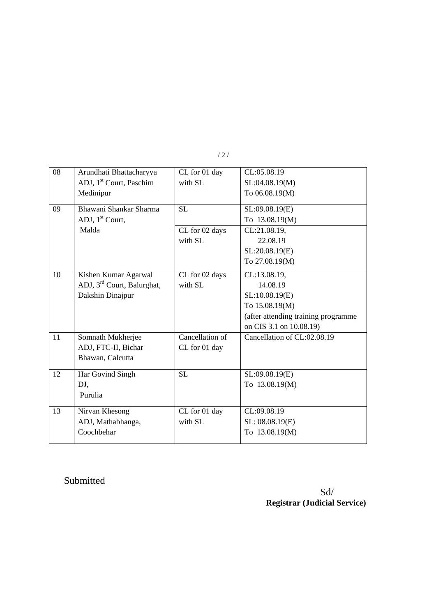|  | /2/ |
|--|-----|
|  |     |

| 08 | Arundhati Bhattacharyya                | CL for 01 day   | CL:05.08.19                         |
|----|----------------------------------------|-----------------|-------------------------------------|
|    | ADJ, 1 <sup>st</sup> Court, Paschim    | with SL         | SL:04.08.19(M)                      |
|    | Medinipur                              |                 | To 06.08.19(M)                      |
|    |                                        |                 |                                     |
| 09 | Bhawani Shankar Sharma                 | SL              | SL:09.08.19(E)                      |
|    | ADJ, $1st$ Court,                      |                 | To 13.08.19(M)                      |
|    | Malda                                  | CL for 02 days  | CL:21.08.19,                        |
|    |                                        | with SL         | 22.08.19                            |
|    |                                        |                 | SL:20.08.19(E)                      |
|    |                                        |                 | To 27.08.19(M)                      |
| 10 | Kishen Kumar Agarwal                   | CL for 02 days  | CL:13.08.19,                        |
|    | ADJ, 3 <sup>rd</sup> Court, Balurghat, | with SL         | 14.08.19                            |
|    | Dakshin Dinajpur                       |                 | SL:10.08.19(E)                      |
|    |                                        |                 | To 15.08.19(M)                      |
|    |                                        |                 | (after attending training programme |
|    |                                        |                 | on CIS 3.1 on 10.08.19)             |
| 11 | Somnath Mukherjee                      | Cancellation of | Cancellation of CL:02.08.19         |
|    | ADJ, FTC-II, Bichar                    | CL for 01 day   |                                     |
|    | Bhawan, Calcutta                       |                 |                                     |
| 12 | Har Govind Singh                       | <b>SL</b>       | SL:09.08.19(E)                      |
|    | DJ,                                    |                 | To 13.08.19(M)                      |
|    | Purulia                                |                 |                                     |
|    |                                        |                 |                                     |
| 13 | Nirvan Khesong                         | CL for 01 day   | CL:09.08.19                         |
|    | ADJ, Mathabhanga,                      | with SL         | SL: 08.08.19(E)                     |
|    | Coochbehar                             |                 | To 13.08.19(M)                      |
|    |                                        |                 |                                     |

# Submitted

 Sd/ **Registrar (Judicial Service)**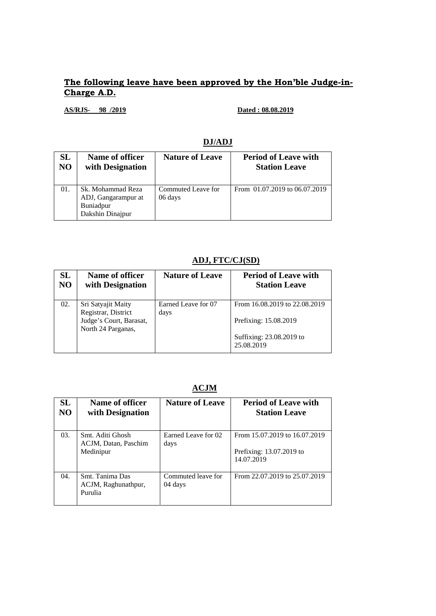## **The following leave have been approved by the Hon'ble Judge-in-Charge A.D.**

**AS/RJS- 98 /2019 Dated : 08.08.2019** 

| DJ/ADJ        |  |
|---------------|--|
| ire of T eave |  |

| <b>SL</b>      | Name of officer                                                           | <b>Nature of Leave</b>        | <b>Period of Leave with</b>   |
|----------------|---------------------------------------------------------------------------|-------------------------------|-------------------------------|
| N <sub>O</sub> | with Designation                                                          |                               | <b>Station Leave</b>          |
| 01.            | Sk. Mohammad Reza<br>ADJ, Gangarampur at<br>Buniadpur<br>Dakshin Dinajpur | Commuted Leave for<br>06 days | From 01.07.2019 to 06.07.2019 |

## **ADJ, FTC/CJ(SD)**

| SL<br>N <sub>O</sub> | Name of officer<br>with Designation                                  | <b>Nature of Leave</b>      | <b>Period of Leave with</b><br><b>Station Leave</b>    |
|----------------------|----------------------------------------------------------------------|-----------------------------|--------------------------------------------------------|
| 02.                  | Sri Satyajit Maity<br>Registrar, District<br>Judge's Court, Barasat, | Earned Leave for 07<br>days | From 16.08.2019 to 22.08.2019<br>Prefixing: 15.08.2019 |
|                      | North 24 Parganas,                                                   |                             | Suffixing: 23.08.2019 to<br>25.08.2019                 |

### **ACJM**

| <b>SL</b><br>N <sub>O</sub> | Name of officer<br>with Designation                   | <b>Nature of Leave</b>        | <b>Period of Leave with</b><br><b>Station Leave</b>                     |
|-----------------------------|-------------------------------------------------------|-------------------------------|-------------------------------------------------------------------------|
| 03.                         | Smt. Aditi Ghosh<br>ACJM, Datan, Paschim<br>Medinipur | Earned Leave for 02<br>days   | From 15.07.2019 to 16.07.2019<br>Prefixing: 13.07.2019 to<br>14.07.2019 |
| 04.                         | Smt. Tanima Das<br>ACJM, Raghunathpur,<br>Purulia     | Commuted leave for<br>04 days | From 22.07.2019 to 25.07.2019                                           |